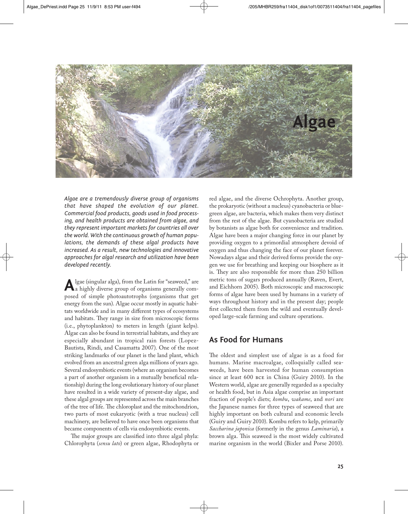

 *Algae are a tremendously diverse group of organisms that have shaped the evolution of our planet. Commercial food products, goods used in food processing, and health products are obtained from algae, and they represent important markets for countries all over the world. With the continuous growth of human populations, the demands of these algal products have increased. As a result, new technologies and innovative approaches for algal research and utilization have been developed recently.* 

lgae (singular alga), from the Latin for "seaweed," are a highly diverse group of organisms generally composed of simple photoautotrophs (organisms that get energy from the sun). Algae occur mostly in aquatic habitats worldwide and in many different types of ecosystems and habitats. They range in size from microscopic forms (i.e., phytoplankton) to meters in length (giant kelps). Algae can also be found in terrestrial habitats, and they are especially abundant in tropical rain forests (Lopez-Bautista, Rindi, and Casamatta 2007). One of the most striking landmarks of our planet is the land plant, which evolved from an ancestral green alga millions of years ago. Several endosymbiotic events (where an organism becomes a part of another organism in a mutually beneficial relationship) during the long evolutionary history of our planet have resulted in a wide variety of present-day algae, and these algal groups are represented across the main branches of the tree of life. The chloroplast and the mitochondrion, two parts of most eukaryotic (with a true nucleus) cell machinery, are believed to have once been organisms that became components of cells via endosymbiotic events.

The major groups are classified into three algal phyla: Chlorophyta ( *sensu lato*) or green algae, Rhodophyta or red algae, and the diverse Ochrophyta. Another group, the prokaryotic (without a nucleus) cyanobacteria or bluegreen algae, are bacteria, which makes them very distinct from the rest of the algae. But cyanobacteria are studied by botanists as algae both for convenience and tradition. Algae have been a major changing force in our planet by providing oxygen to a primordial atmosphere devoid of oxygen and thus changing the face of our planet forever. Nowadays algae and their derived forms provide the oxygen we use for breathing and keeping our biosphere as it is. They are also responsible for more than 250 billion metric tons of sugars produced annually (Raven, Evert, and Eichhorn 2005). Both microscopic and macroscopic forms of algae have been used by humans in a variety of ways throughout history and in the present day; people first collected them from the wild and eventually developed large-scale farming and culture operations.

# **As Food for Humans**

The oldest and simplest use of algae is as a food for humans. Marine macroalgae, colloquially called seaweeds, have been harvested for human consumption since at least 600 bce in China (Guiry 2010). In the Western world, algae are generally regarded as a specialty or health food, but in Asia algae comprise an important fraction of people's diets; *kombu*, *wakame*, and *nori* are the Japanese names for three types of seaweed that are highly important on both cultural and economic levels (Guiry and Guiry 2010). Kombu refers to kelp, primarily *Saccharina japonica* (formerly in the genus *Laminaria*), a brown alga. This seaweed is the most widely cultivated marine organism in the world (Bixler and Porse 2010).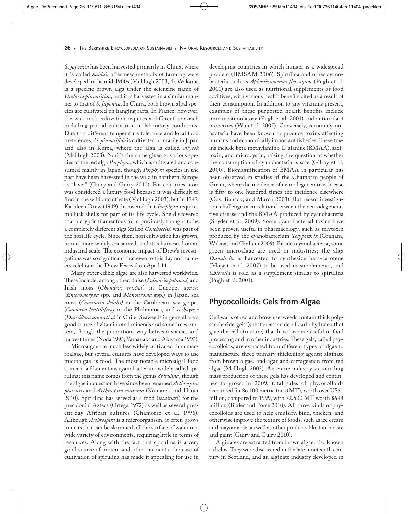*S. japonica* has been harvested primarily in China, where it is called *haidai*, after new methods of farming were developed in the mid-1900s (McHugh 2003, 4). Wakame is a specific brown alga under the scientific name of *Undaria pinnatifida*, and it is harvested in a similar manner to that of *S. Japonica*. In China, both brown algal species are cultivated on hanging rafts. In France, however, the wakame's cultivation requires a different approach including partial cultivation in laboratory conditions. Due to a different temperature tolerance and local food preferences, *U. pinnatifida* is cultivated primarily in Japan and also in Korea, where the alga is called *miyeok*  (McHugh 2003). Nori is the name given to various species of the red alga *Porphyra*, which is cultivated and consumed mainly in Japan, though *Porphyra* species in the past have been harvested in the wild in northern Europe as "laver" (Guiry and Guiry 2010). For centuries, nori was considered a luxury food because it was difficult to find in the wild or cultivate (McHugh 2003), but in 1949, Kathleen Drew (1949) discovered that *Porphyra* requires mollusk shells for part of its life cycle. She discovered that a cryptic filamentous form previously thought to be a completely different alga (called *Conchocelis*) was part of the nori life cycle. Since then, nori cultivation has grown, nori is more widely consumed, and it is harvested on an industrial scale. The economic impact of Drew's investigations was so significant that even to this day nori farmers celebrate the Drew Festival on April 14.

Many other edible algae are also harvested worldwide *.*  These include, among other, dulse (*Palmaria palmata*) and Irish moss ( *Chondrus crispus*) in Europe, *aonori* ( *Enteromorpha* spp. and *Monostroma* spp .) in Japan, sea moss ( *Gracilaria debilis)* in the Caribbean, sea grapes ( *Caulerpa lentillifera)* in the Philippines, and *cochayuyo* ( *Durvillaea antarctica*) in Chile. Seaweeds in general are a good source of vitamins and minerals and sometimes protein, though the proportions vary between species and harvest times (Noda 1993; Yamanaka and Akiyama 1993).

Microalgae are much less widely cultivated than macroalgae, but several cultures have developed ways to use microalgae as food. The most notable microalgal food source is a filamentous cyanobacterium widely called spirulina; this name comes from the genus *Spirulina*, though the algae in question have since been renamed *Arthrospira platensis* and *Arthrospira maxima* (Kómarek and Hauer 2010). Spirulina has served as a food ( *tecuitlatl*) for the precolonial Aztecs (Ortega 1972) as well as several present-day African cultures (Chamorro et al. 1996). Although *Arthrospira* is a microorganism, it often grows in mats that can be skimmed off the surface of water in a wide variety of environments, requiring little in terms of resources. Along with the fact that spirulina is a very good source of protein and other nutrients, the ease of cultivation of spirulina has made it appealing for use in

developing countries in which hunger is a widespread problem (IIMSAM 2006). Spirulina and other cyanobacteria such as *Aphanizomenon flos-aquae* (Pugh et al. 2001) are also used as nutritional supplements or food additives, with various health benefits cited as a result of their consumption. In addition to any vitamins present, examples of these purported health benefits include immunostimulatory (Pugh et al. 2001) and antioxidant properties (Wu et al. 2005). Conversely, certain cyanobacteria have been known to produce toxins affecting humans and economically important fisheries. These toxins include beta-methylamino-L-alanine (BMAA), saxitoxin, and microcystin, raising the question of whether the consumption of cyanobacteria is safe (Gilroy et al. 2000). Biomagnification of BMAA in particular has been observed in studies of the Chamorro people of Guam, where the incidence of neurodegenerative disease is fifty to one hundred times the incidence elsewhere (Cox, Banack, and Murch 2003). But recent investigation challenges a correlation between the neurodegenerative disease and the BMAA produced by cyanobacteria (Snyder et al. 2009). Some cyanobacterial toxins have been proven useful in pharmacology, such as tolytoxin produced by the cyanobacterium *Tolypothrix* (Graham, Wilcox, and Graham 2009) *.* Besides cyanobacteria, some green microalgae are used in industries; the alga *Dunaliella* is harvested to synthesize beta *-*carotene (Mojaat et al. 2007) to be used in supplements, and *Chlorella* is sold as a supplement similar to spirulina (Pugh et al. 2001).

# **Phycocolloids: Gels from Algae**

Cell walls of red and brown seaweeds contain thick polysaccharide gels (substances made of carbohydrates that give the cell structure) that have become useful in food processing and in other industries. These gels, called phycocolloids, are extracted from different types of algae to manufacture three primary thickening agents: alginate from brown algae, and agar and carrageenan from red algae (McHugh 2003). An entire industry surrounding mass production of these gels has developed and continues to grow: in 2009, total sales of phycocolloids accounted for 86,100 metric tons (MT), worth over US\$1 billion, compared to 1999, with 72,500 MT worth \$644 million (Bixler and Porse 2010). All three kinds of phycocolloids are used to help emulsify, bind, thicken, and otherwise improve the texture of foods, such as ice cream and mayonnaise, as well as other products like toothpaste and paint (Guiry and Guiry 2010).

Alginates are extracted from brown algae, also known as kelps. They were discovered in the late nineteenth century in Scotland, and an alginate industry developed in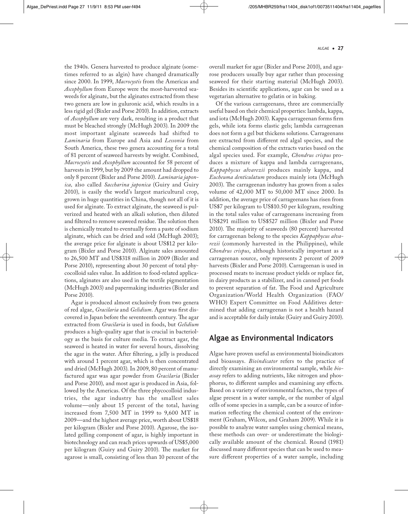the 1940s. Genera harvested to produce alginate (sometimes referred to as algin) have changed dramatically since 2000. In 1999, *Macrocystis* from the Americas and *Ascophyllum* from Europe were the most-harvested seaweeds for alginate, but the alginates extracted from these two genera are low in guluronic acid, which results in a less rigid gel (Bixler and Porse 2010). In addition, extracts of *Ascophyllum* are very dark, resulting in a product that must be bleached strongly (McHugh 2003). In 2009 the most important alginate seaweeds had shifted to *Laminaria* from Europe and Asia and *Lessonia* from South America, these two genera accounting for a total of 81 percent of seaweed harvests by weight. Combined, *Macrocystis* and *Ascophyllum* accounted for 58 percent of harvests in 1999, but by 2009 the amount had dropped to only 8 percent (Bixler and Porse 2010). *Laminaria japonica,* also called *Saccharina japonica* (Guiry and Guiry 2010), is easily the world's largest maricultural crop, grown in huge quantities in China, though not all of it is used for alginate. To extract alginate, the seaweed is pulverized and heated with an alkali solution, then diluted and filtered to remove seaweed residue. The solution then is chemically treated to eventually form a paste of sodium alginate, which can be dried and sold (McHugh 2003); the average price for alginate is about US\$12 per kilogram (Bixler and Porse 2010). Alginate sales amounted to 26,500 MT and US\$318 million in 2009 (Bixler and Porse 2010), representing about 30 percent of total phycocolloid sales value. In addition to food-related applications, alginates are also used in the textile pigmentation (McHugh 2003) and papermaking industries (Bixler and Porse 2010).

Agar is produced almost exclusively from two genera of red algae, *Gracilaria* and *Gelidium*. Agar was first discovered in Japan before the seventeenth century. The agar extracted from *Gracilaria* is used in foods, but *Gelidium*  produces a high-quality agar that is crucial in bacteriology as the basis for culture media. To extract agar, the seaweed is heated in water for several hours, dissolving the agar in the water. After filtering, a jelly is produced with around 1 percent agar, which is then concentrated and dried (McHugh 2003). In 2009, 80 percent of manufactured agar was agar powder from *Gracilaria* (Bixler and Porse 2010), and most agar is produced in Asia, followed by the Americas. Of the three phycocolloid industries, the agar industry has the smallest sales volume—only about 15 percent of the total, having increased from 7,500 MT in 1999 to 9,600 MT in 2009—and the highest average price, worth about US\$18 per kilogram (Bixler and Porse 2010). Agarose, the isolated gelling component of agar, is highly important in biotechnology and can reach prices upwards of US\$5,000 per kilogram (Guiry and Guiry 2010). The market for agarose is small, consisting of less than 10 percent of the

overall market for agar (Bixler and Porse 2010), and agarose producers usually buy agar rather than processing seaweed for their starting material (McHugh 2003). Besides its scientific applications, agar can be used as a vegetarian alternative to gelatin or in baking.

Of the various carrageenans, three are commercially useful based on their chemical properties: lambda, kappa, and iota (McHugh 2003). Kappa carrageenan forms firm gels, while iota forms elastic gels; lambda carrageenan does not form a gel but thickens solutions. Carrageenans are extracted from different red algal species, and the chemical composition of the extracts varies based on the algal species used. For example, *Chondrus crispus* produces a mixture of kappa and lambda carrageenans, *Kappaphycus alvarezii* produces mainly kappa, and *Eucheuma denticulatum* produces mainly iota (McHugh 2003). The carrageenan industry has grown from a sales volume of 42,000 MT to 50,000 MT since 2000. In addition, the average price of carrageenans has risen from US\$7 per kilogram to US\$10.50 per kilogram, resulting in the total sales value of carrageenans increasing from US\$291 million to US\$527 million (Bixler and Porse 2010). The majority of seaweeds (80 percent) harvested for carrageenan belong to the species *Kappaphycus alvarezii* (commonly harvested in the Philippines), while *Chondrus crispus*, although historically important as a carrageenan source, only represents 2 percent of 2009 harvests (Bixler and Porse 2010). Carrageenan is used in processed meats to increase product yields or replace fat, in dairy products as a stabilizer, and in canned pet foods to prevent separation of fat. The Food and Agriculture Organization/World Health Organization (FAO/ WHO) Expert Committee on Food Additives determined that adding carrageenan is not a health hazard and is acceptable for daily intake (Guiry and Guiry 2010).

#### **Algae as Environmental Indicators**

Algae have proven useful as environmental bioindicators and bioassays. *Bioindicator* refers to the practice of directly examining an environmental sample, while *bioassay* refers to adding nutrients, like nitrogen and phosphorus, to different samples and examining any effects. Based on a variety of environmental factors, the types of algae present in a water sample, or the number of algal cells of some species in a sample, can be a source of information reflecting the chemical content of the environment (Graham, Wilcox, and Graham 2009). While it is possible to analyze water samples using chemical means, these methods can over- or underestimate the biologically available amount of the chemical. Round (1981) discussed many different species that can be used to measure different properties of a water sample, including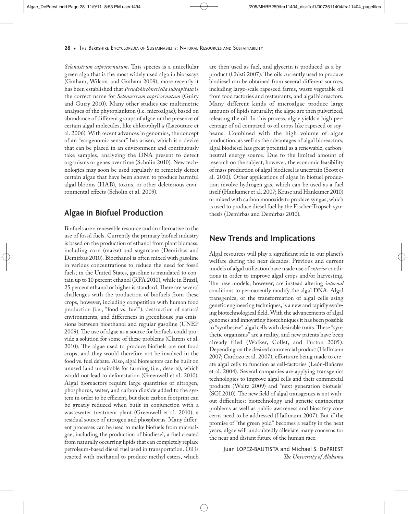*Selenastrum capricornutum*. This species is a unicellular green alga that is the most widely used alga in bioassays (Graham, Wilcox, and Graham 2009); more recently it has been established that *Pseudokirchneriella subcapitata* is the correct name for *Selenastrum capricornutum* (Guiry and Guiry 2010). Many other studies use multimetric analyses of the phytoplankton (i.e *.* microalgae), based on abundance of different groups of algae or the presence of certain algal molecules, like chlorophyll *a* (Lacouture et al. 2006). With recent advances in genomics, the concept of an "ecogenomic sensor" has arisen, which is a device that can be placed in an environment and continuously take samples, analyzing the DNA present to detect organisms or genes over time (Scholin 2010). New technologies may soon be used regularly to remotely detect certain algae that have been shown to produce harmful algal blooms (HAB), toxins, or other deleterious environmental effects (Scholin et al. 2009).

## **Algae in Biofuel Production**

Biofuels are a renewable resource and an alternative to the use of fossil fuels. Currently the primary biofuel industry is based on the production of ethanol from plant biomass, including corn (maize) and sugarcane (Demirbas and Demirbas 2010). Bioethanol is often mixed with gasoline in various concentrations to reduce the need for fossil fuels; in the United States, gasoline is mandated to contain up to 10 percent ethanol (RFA 2010), while in Brazil, 25 percent ethanol or higher is standard. There are several challenges with the production of biofuels from these crops, however, including competition with human food production (i.e., "food vs. fuel"), destruction of natural environments, and differences in greenhouse gas emissions between bioethanol and regular gasoline (UNEP 2009). The use of algae as a source for biofuels could provide a solution for some of these problems (Clarens et al. 2010). The algae used to produce biofuels are not food crops, and they would therefore not be involved in the food vs. fuel debate. Also, algal bioreactors can be built on unused land unsuitable for farming (i.e., deserts), which would not lead to deforestation (Greenwell et al. 2010). Algal bioreactors require large quantities of nitrogen, phosphorus, water, and carbon dioxide added to the system in order to be efficient, but their carbon footprint can be greatly reduced when built in conjunction with a wastewater treatment plant (Greenwell et al. 2010), a residual source of nitrogen and phosphorus. Many different processes can be used to make biofuels from microalgae, including the production of biodiesel, a fuel created from naturally occurring lipids that can completely replace petroleum-based diesel fuel used in transportation. Oil is reacted with methanol to produce methyl esters, which

are then used as fuel, and glycerin is produced as a byproduct (Chisti 2007). The oils currently used to produce biodiesel can be obtained from several different sources, including large-scale rapeseed farms, waste vegetable oil from food factories and restaurants, and algal bioreactors. Many different kinds of microalgae produce large amounts of lipids naturally; the algae are then pulverized, releasing the oil. In this process, algae yields a high percentage of oil compared to oil crops like rapeseed or soybeans. Combined with the high volume of algae production, as well as the advantages of algal bioreactors, algal biodiesel has great potential as a renewable, carbonneutral energy source. Due to the limited amount of research on the subject, however, the economic feasibility of mass production of algal biodiesel is uncertain (Scott et al. 2010). Other applications of algae in biofuel production involve hydrogen gas, which can be used as a fuel itself (Hankamer et al. 2007; Kruse and Hankamer 2010) or mixed with carbon monoxide to produce syngas, which is used to produce diesel fuel by the Fischer-Tropsch synthesis (Demirbas and Demirbas 2010).

#### **New Trends and Implications**

Algal resources will play a significant role in our planet's welfare during the next decades. Previous and current models of algal utilization have made use of *exterior* conditions in order to improve algal crops and/or harvesting. The new models, however, are instead altering *internal* conditions to permanently modify the algal DNA. Algal transgenics, or the transformation of algal cells using genetic engineering techniques, is a new and rapidly evolving biotechnological field. With the advancements of algal genomes and innovating biotechniques it has been possible to "synthesize" algal cells with desirable traits. These "synthetic organisms" are a reality, and new patents have been already filed (Walker, Collet, and Purton 2005). Depending on the desired commercial product (Hallmann 2007; Cardozo et al. 2007), efforts are being made to create algal cells to function as cell-factories (León-Bañares et al. 2004). Several companies are applying transgenics technologies to improve algal cells and their commercial products (Waltz 2009) and "next generation biofuels" (SGI 2010). The new field of algal transgenics is not without difficulties: biotechnology and genetic engineering problems as well as public awareness and biosafety concerns need to be addressed (Hallmann 2007). But if the promise of "the green gold" becomes a reality in the next years, algae will undoubtedly alleviate many concerns for the near and distant future of the human race.

> Juan LOPEZ-BAUTISTA and Michael S. DePRIEST **The University of Alabama**